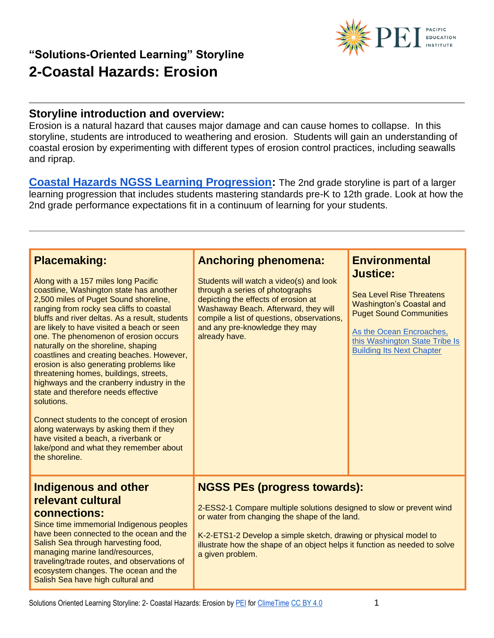

Erosion is a natural hazard that causes major damage and can cause homes to collapse. In this storyline, students are introduced to weathering and erosion. Students will gain an understanding of coastal erosion by experimenting with different types of erosion control practices, including seawalls and riprap.

**[Coastal Hazards NGSS Learning Progression:](https://pacificeductioninstitute.sharepoint.com/:x:/s/Program/Ectwt0BNEIZJp8v5VrB2Hu4Blxk6i2b6Kx9MkofojSim7g?e=360ww9)** The 2nd grade storyline is part of a larger learning progression that includes students mastering standards pre-K to 12th grade. Look at how the 2nd grade performance expectations fit in a continuum of learning for your students.

| <b>Placemaking:</b><br>Along with a 157 miles long Pacific<br>coastline, Washington state has another<br>2,500 miles of Puget Sound shoreline,<br>ranging from rocky sea cliffs to coastal<br>bluffs and river deltas. As a result, students<br>are likely to have visited a beach or seen<br>one. The phenomenon of erosion occurs<br>naturally on the shoreline, shaping<br>coastlines and creating beaches. However,<br>erosion is also generating problems like<br>threatening homes, buildings, streets,<br>highways and the cranberry industry in the<br>state and therefore needs effective<br>solutions.<br>Connect students to the concept of erosion<br>along waterways by asking them if they<br>have visited a beach, a riverbank or<br>lake/pond and what they remember about<br>the shoreline. | <b>Anchoring phenomena:</b><br>Students will watch a video(s) and look<br>through a series of photographs<br>depicting the effects of erosion at<br>Washaway Beach. Afterward, they will<br>compile a list of questions, observations,<br>and any pre-knowledge they may<br>already have.                                          | <b>Environmental</b><br><b>Justice:</b><br><b>Sea Level Rise Threatens</b><br><b>Washington's Coastal and</b><br><b>Puget Sound Communities</b><br>As the Ocean Encroaches,<br>this Washington State Tribe Is<br><b>Building Its Next Chapter</b> |
|--------------------------------------------------------------------------------------------------------------------------------------------------------------------------------------------------------------------------------------------------------------------------------------------------------------------------------------------------------------------------------------------------------------------------------------------------------------------------------------------------------------------------------------------------------------------------------------------------------------------------------------------------------------------------------------------------------------------------------------------------------------------------------------------------------------|------------------------------------------------------------------------------------------------------------------------------------------------------------------------------------------------------------------------------------------------------------------------------------------------------------------------------------|---------------------------------------------------------------------------------------------------------------------------------------------------------------------------------------------------------------------------------------------------|
| <b>Indigenous and other</b><br>relevant cultural<br>connections:<br>Since time immemorial Indigenous peoples<br>have been connected to the ocean and the<br>Salish Sea through harvesting food,<br>managing marine land/resources,<br>traveling/trade routes, and observations of<br>ecosystem changes. The ocean and the<br>Salish Sea have high cultural and                                                                                                                                                                                                                                                                                                                                                                                                                                               | <b>NGSS PEs (progress towards):</b><br>2-ESS2-1 Compare multiple solutions designed to slow or prevent wind<br>or water from changing the shape of the land.<br>K-2-ETS1-2 Develop a simple sketch, drawing or physical model to<br>illustrate how the shape of an object helps it function as needed to solve<br>a given problem. |                                                                                                                                                                                                                                                   |



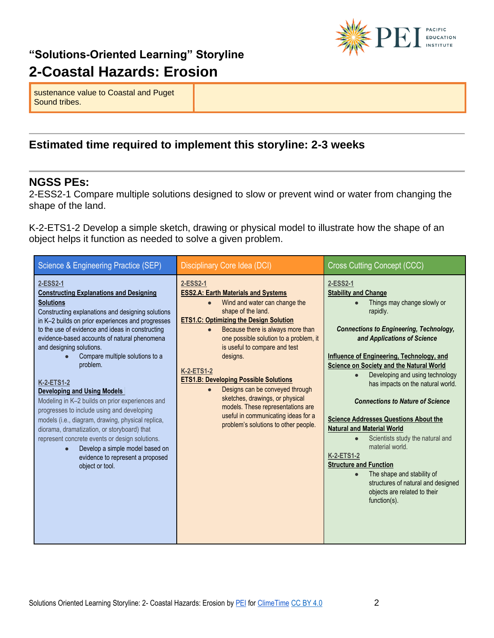

sustenance value to Coastal and Puget Sound tribes.

#### **Estimated time required to implement this storyline: 2-3 weeks**

#### **NGSS PEs:**

2-ESS2-1 Compare multiple solutions designed to slow or prevent wind or water from changing the shape of the land.

K-2-ETS1-2 Develop a simple sketch, drawing or physical model to illustrate how the shape of an object helps it function as needed to solve a given problem.

| Science & Engineering Practice (SEP)                                                                                                                                                                                                                                                                                                                                                                                                                                                                                                                                                                                                                                                                                                                                         | Disciplinary Core Idea (DCI)                                                                                                                                                                                                                                                                                                                                                                                                                                                                                                                                                                     | <b>Cross Cutting Concept (CCC)</b>                                                                                                                                                                                                                                                                                                                                                                                                                                                                                                                                                                                                                                                                                                               |
|------------------------------------------------------------------------------------------------------------------------------------------------------------------------------------------------------------------------------------------------------------------------------------------------------------------------------------------------------------------------------------------------------------------------------------------------------------------------------------------------------------------------------------------------------------------------------------------------------------------------------------------------------------------------------------------------------------------------------------------------------------------------------|--------------------------------------------------------------------------------------------------------------------------------------------------------------------------------------------------------------------------------------------------------------------------------------------------------------------------------------------------------------------------------------------------------------------------------------------------------------------------------------------------------------------------------------------------------------------------------------------------|--------------------------------------------------------------------------------------------------------------------------------------------------------------------------------------------------------------------------------------------------------------------------------------------------------------------------------------------------------------------------------------------------------------------------------------------------------------------------------------------------------------------------------------------------------------------------------------------------------------------------------------------------------------------------------------------------------------------------------------------------|
| 2-ESS2-1<br><b>Constructing Explanations and Designing</b><br><b>Solutions</b><br>Constructing explanations and designing solutions<br>in K-2 builds on prior experiences and progresses<br>to the use of evidence and ideas in constructing<br>evidence-based accounts of natural phenomena<br>and designing solutions.<br>Compare multiple solutions to a<br>problem.<br><b>K-2-ETS1-2</b><br>Developing and Using Models<br>Modeling in K-2 builds on prior experiences and<br>progresses to include using and developing<br>models (i.e., diagram, drawing, physical replica,<br>diorama, dramatization, or storyboard) that<br>represent concrete events or design solutions.<br>Develop a simple model based on<br>evidence to represent a proposed<br>object or tool. | 2-ESS2-1<br><b>ESS2.A: Earth Materials and Systems</b><br>Wind and water can change the<br>$\bullet$<br>shape of the land.<br><b>ETS1.C: Optimizing the Design Solution</b><br>Because there is always more than<br>$\bullet$<br>one possible solution to a problem, it<br>is useful to compare and test<br>designs.<br><b>K-2-ETS1-2</b><br><b>ETS1.B: Developing Possible Solutions</b><br>Designs can be conveyed through<br>$\bullet$<br>sketches, drawings, or physical<br>models. These representations are<br>useful in communicating ideas for a<br>problem's solutions to other people. | 2-ESS2-1<br><b>Stability and Change</b><br>Things may change slowly or<br>rapidly.<br><b>Connections to Engineering, Technology,</b><br>and Applications of Science<br><b>Influence of Engineering, Technology, and</b><br><b>Science on Society and the Natural World</b><br>Developing and using technology<br>has impacts on the natural world.<br><b>Connections to Nature of Science</b><br><b>Science Addresses Questions About the</b><br><b>Natural and Material World</b><br>Scientists study the natural and<br>$\bullet$<br>material world.<br><b>K-2-ETS1-2</b><br><b>Structure and Function</b><br>The shape and stability of<br>$\bullet$<br>structures of natural and designed<br>objects are related to their<br>$function(s)$ . |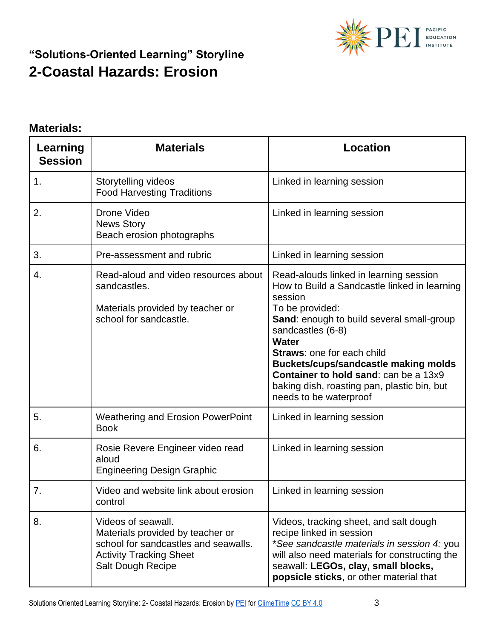

#### **Materials:**

| Learning<br><b>Session</b> | <b>Materials</b>                                                                                                                                             | <b>Location</b>                                                                                                                                                                                                                                                                                                                                                                                                     |
|----------------------------|--------------------------------------------------------------------------------------------------------------------------------------------------------------|---------------------------------------------------------------------------------------------------------------------------------------------------------------------------------------------------------------------------------------------------------------------------------------------------------------------------------------------------------------------------------------------------------------------|
| 1.                         | Storytelling videos<br><b>Food Harvesting Traditions</b>                                                                                                     | Linked in learning session                                                                                                                                                                                                                                                                                                                                                                                          |
| 2.                         | Drone Video<br><b>News Story</b><br>Beach erosion photographs                                                                                                | Linked in learning session                                                                                                                                                                                                                                                                                                                                                                                          |
| 3.                         | Pre-assessment and rubric                                                                                                                                    | Linked in learning session                                                                                                                                                                                                                                                                                                                                                                                          |
| 4.                         | Read-aloud and video resources about<br>sandcastles.<br>Materials provided by teacher or<br>school for sandcastle.                                           | Read-alouds linked in learning session<br>How to Build a Sandcastle linked in learning<br>session<br>To be provided:<br>Sand: enough to build several small-group<br>sandcastles (6-8)<br><b>Water</b><br><b>Straws: one for each child</b><br><b>Buckets/cups/sandcastle making molds</b><br><b>Container to hold sand: can be a 13x9</b><br>baking dish, roasting pan, plastic bin, but<br>needs to be waterproof |
| 5.                         | <b>Weathering and Erosion PowerPoint</b><br><b>Book</b>                                                                                                      | Linked in learning session                                                                                                                                                                                                                                                                                                                                                                                          |
| 6.                         | Rosie Revere Engineer video read<br>aloud<br><b>Engineering Design Graphic</b>                                                                               | Linked in learning session                                                                                                                                                                                                                                                                                                                                                                                          |
| 7.                         | Video and website link about erosion<br>control                                                                                                              | Linked in learning session                                                                                                                                                                                                                                                                                                                                                                                          |
| 8.                         | Videos of seawall.<br>Materials provided by teacher or<br>school for sandcastles and seawalls.<br><b>Activity Tracking Sheet</b><br><b>Salt Dough Recipe</b> | Videos, tracking sheet, and salt dough<br>recipe linked in session<br>*See sandcastle materials in session 4: you<br>will also need materials for constructing the<br>seawall: LEGOs, clay, small blocks,<br>popsicle sticks, or other material that                                                                                                                                                                |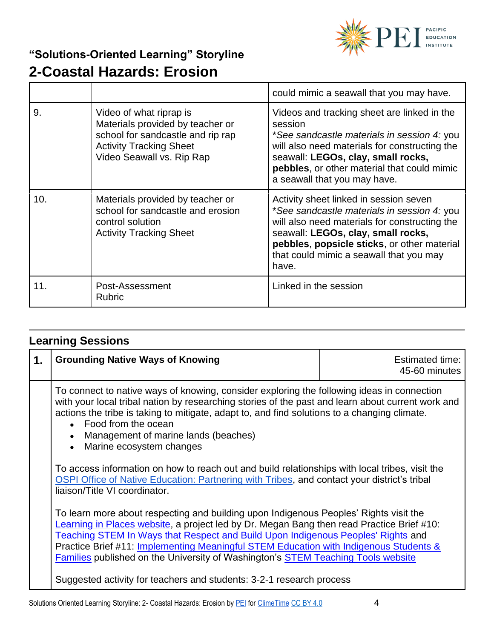

|     |                                                                                                                                                                 | could mimic a seawall that you may have.                                                                                                                                                                                                                                        |
|-----|-----------------------------------------------------------------------------------------------------------------------------------------------------------------|---------------------------------------------------------------------------------------------------------------------------------------------------------------------------------------------------------------------------------------------------------------------------------|
| 9.  | Video of what riprap is<br>Materials provided by teacher or<br>school for sandcastle and rip rap<br><b>Activity Tracking Sheet</b><br>Video Seawall vs. Rip Rap | Videos and tracking sheet are linked in the<br>session<br>*See sandcastle materials in session 4: you<br>will also need materials for constructing the<br>seawall: LEGOs, clay, small rocks,<br>pebbles, or other material that could mimic<br>a seawall that you may have.     |
| 10. | Materials provided by teacher or<br>school for sandcastle and erosion<br>control solution<br><b>Activity Tracking Sheet</b>                                     | Activity sheet linked in session seven<br>*See sandcastle materials in session 4: you<br>will also need materials for constructing the<br>seawall: LEGOs, clay, small rocks,<br>pebbles, popsicle sticks, or other material<br>that could mimic a seawall that you may<br>have. |
| 11. | Post-Assessment<br><b>Rubric</b>                                                                                                                                | Linked in the session                                                                                                                                                                                                                                                           |

| <b>Learning Sessions</b> |                                         |                                  |
|--------------------------|-----------------------------------------|----------------------------------|
|                          | <b>Grounding Native Ways of Knowing</b> | Estimated time:<br>45-60 minutes |

To connect to native ways of knowing, consider exploring the following ideas in connection with your local tribal nation by researching stories of the past and learn about current work and actions the tribe is taking to mitigate, adapt to, and find solutions to a changing climate.

- Food from the ocean
- Management of marine lands (beaches)
- Marine ecosystem changes

To access information on how to reach out and build relationships with local tribes, visit the  [OSPI Office of Native Education: Partnering with Tribes,](https://www.k12.wa.us/student-success/resources-subject-area/time-immemorial-tribal-sovereignty-washington-state/partnering-tribes) and contact your district's tribal liaison/Title VI coordinator.

To learn more about respecting and building upon Indigenous Peoples' Rights visit the Learning [in Places website,](http://learninginplaces.org/) a project led by Dr. Megan Bang then read Practice Brief #10: [Teaching STEM In Ways that Respect and Build Upon Indigenous Peoples' Rights](http://stemteachingtools.org/brief/10) and Practice Brief #11: Implementing Meaningful STEM Education with Indigenous Students & [Families](http://stemteachingtools.org/brief/11) published on the University of Washington's [STEM Teaching Tools website](http://stemteachingtools.org/)

Suggested activity for teachers and students: 3-2-1 research process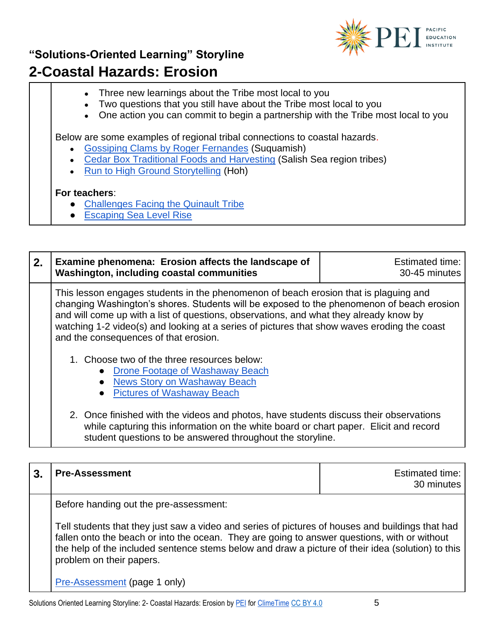

- Three new learnings about the Tribe most local to you
- Two questions that you still have about the Tribe most local to you
- One action you can commit to begin a partnership with the Tribe most local to you

Below are some examples of regional tribal connections to coastal hazards.

- [Gossiping Clams by Roger Fernandes](https://vimeo.com/216035921) (Suquamish)
- [Cedar Box Traditional Foods and Harvesting](http://www.npaihb.org/download/authoring_project/weave-nw/Cedar-Box-Teaching-Toolkit.pdf) (Salish Sea region tribes)
- **[Run to High Ground Storytelling](https://www.youtube.com/watch?v=CAiwcZXfUGw) (Hoh)**

#### **For teachers**:

- [Challenges Facing the Quinault Tribe](http://archive.kuow.org/post/washington-tribe-confronts-climate-change-sea-level-rise)
- [Escaping Sea Level Rise](https://crosscut.com/2019/10/coastal-tribes-wa-are-working-escape-rising-sea-levels-bill-dc-could-help)

| 2. | Examine phenomena: Erosion affects the landscape of<br><b>Washington, including coastal communities</b>                                                                                                                                                                                                                                                                                                                                                                                                                                                                                        | Estimated time:<br>30-45 minutes |
|----|------------------------------------------------------------------------------------------------------------------------------------------------------------------------------------------------------------------------------------------------------------------------------------------------------------------------------------------------------------------------------------------------------------------------------------------------------------------------------------------------------------------------------------------------------------------------------------------------|----------------------------------|
|    | This lesson engages students in the phenomenon of beach erosion that is plaguing and<br>changing Washington's shores. Students will be exposed to the phenomenon of beach erosion<br>and will come up with a list of questions, observations, and what they already know by<br>watching 1-2 video(s) and looking at a series of pictures that show waves eroding the coast<br>and the consequences of that erosion.<br>1. Choose two of the three resources below:<br>Drone Footage of Washaway Beach<br><b>News Story on Washaway Beach</b><br>$\bullet$<br><b>Pictures of Washaway Beach</b> |                                  |
|    | 2. Once finished with the videos and photos, have students discuss their observations<br>while capturing this information on the white board or chart paper. Elicit and record<br>student questions to be answered throughout the storyline.                                                                                                                                                                                                                                                                                                                                                   |                                  |

|  | <b>Pre-Assessment</b>                                                                                                                                                                                                                                                                                                                                                       | Estimated time:<br>30 minutes |
|--|-----------------------------------------------------------------------------------------------------------------------------------------------------------------------------------------------------------------------------------------------------------------------------------------------------------------------------------------------------------------------------|-------------------------------|
|  | Before handing out the pre-assessment:<br>Tell students that they just saw a video and series of pictures of houses and buildings that had<br>fallen onto the beach or into the ocean. They are going to answer questions, with or without<br>the help of the included sentence stems below and draw a picture of their idea (solution) to this<br>problem on their papers. |                               |
|  |                                                                                                                                                                                                                                                                                                                                                                             |                               |
|  | Pre-Assessment (page 1 only)                                                                                                                                                                                                                                                                                                                                                |                               |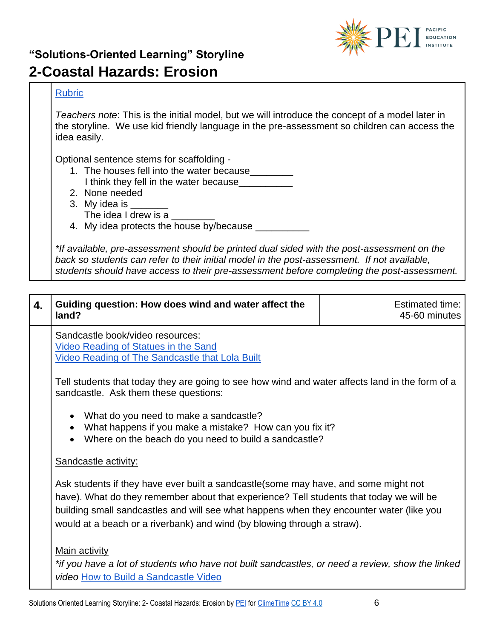

#### **[Rubric](https://pacificeductioninstitute.sharepoint.com/:w:/s/Program/EY2JfEmEbIhPoqjsaalirE8BR0y-fwL97j4m2385s2Cm7A?e=svMzle)**

*Teachers note*: This is the initial model, but we will introduce the concept of a model later in the storyline. We use kid friendly language in the pre-assessment so children can access the idea easily.

Optional sentence stems for scaffolding -

- 1. The houses fell into the water because
- I think they fell in the water because
- 2. None needed
- 3. My idea is \_\_\_\_\_ The idea I drew is a
- 4. My idea protects the house by/because

*\*If available, pre-assessment should be printed dual sided with the post-assessment on the back so students can refer to their initial model in the post-assessment. If not available, students should have access to their pre-assessment before completing the post-assessment.*

| 4. | Guiding question: How does wind and water affect the<br>land?                                                                                                                                                                                                                                                                                          | <b>Estimated time:</b><br>45-60 minutes |
|----|--------------------------------------------------------------------------------------------------------------------------------------------------------------------------------------------------------------------------------------------------------------------------------------------------------------------------------------------------------|-----------------------------------------|
|    | Sandcastle book/video resources:<br><b>Video Reading of Statues in the Sand</b><br><b>Video Reading of The Sandcastle that Lola Built</b>                                                                                                                                                                                                              |                                         |
|    | Tell students that today they are going to see how wind and water affects land in the form of a<br>sandcastle. Ask them these questions:                                                                                                                                                                                                               |                                         |
|    | What do you need to make a sandcastle?<br>$\bullet$<br>What happens if you make a mistake? How can you fix it?<br>$\bullet$<br>Where on the beach do you need to build a sandcastle?                                                                                                                                                                   |                                         |
|    | Sandcastle activity:                                                                                                                                                                                                                                                                                                                                   |                                         |
|    | Ask students if they have ever built a sandcastle (some may have, and some might not<br>have). What do they remember about that experience? Tell students that today we will be<br>building small sandcastles and will see what happens when they encounter water (like you<br>would at a beach or a riverbank) and wind (by blowing through a straw). |                                         |
|    | <b>Main activity</b><br>*if you have a lot of students who have not built sandcastles, or need a review, show the linked<br>video How to Build a Sandcastle Video                                                                                                                                                                                      |                                         |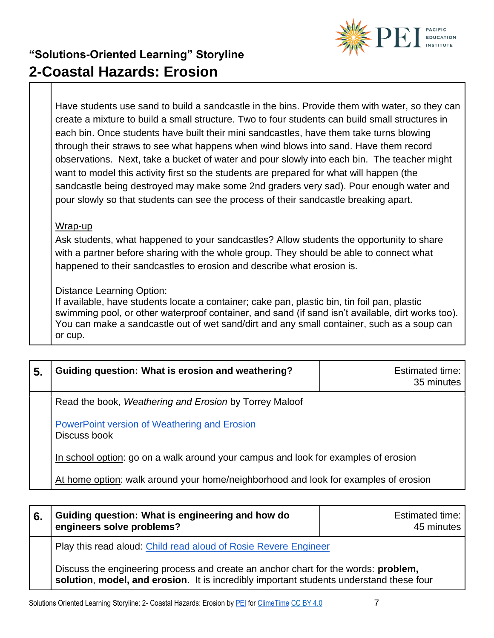

Have students use sand to build a sandcastle in the bins. Provide them with water, so they can create a mixture to build a small structure. Two to four students can build small structures in each bin. Once students have built their mini sandcastles, have them take turns blowing through their straws to see what happens when wind blows into sand. Have them record observations. Next, take a bucket of water and pour slowly into each bin. The teacher might want to model this activity first so the students are prepared for what will happen (the sandcastle being destroyed may make some 2nd graders very sad). Pour enough water and pour slowly so that students can see the process of their sandcastle breaking apart.

#### Wrap-up

Ask students, what happened to your sandcastles? Allow students the opportunity to share with a partner before sharing with the whole group. They should be able to connect what happened to their sandcastles to erosion and describe what erosion is.

Distance Learning Option:

If available, have students locate a container; cake pan, plastic bin, tin foil pan, plastic swimming pool, or other waterproof container, and sand (if sand isn't available, dirt works too). You can make a sandcastle out of wet sand/dirt and any small container, such as a soup can or cup.

| 5. | Guiding question: What is erosion and weathering?                                   | <b>Estimated time:</b><br>35 minutes |
|----|-------------------------------------------------------------------------------------|--------------------------------------|
|    | Read the book, Weathering and Erosion by Torrey Maloof                              |                                      |
|    | PowerPoint version of Weathering and Erosion<br>Discuss book                        |                                      |
|    | In school option: go on a walk around your campus and look for examples of erosion  |                                      |
|    | At home option: walk around your home/neighborhood and look for examples of erosion |                                      |

| 6. | Guiding question: What is engineering and how do<br>engineers solve problems?                                                                                                 | <b>Estimated time:</b><br>45 minutes |
|----|-------------------------------------------------------------------------------------------------------------------------------------------------------------------------------|--------------------------------------|
|    | Play this read aloud: Child read aloud of Rosie Revere Engineer                                                                                                               |                                      |
|    | Discuss the engineering process and create an anchor chart for the words: problem,<br>solution, model, and erosion. It is incredibly important students understand these four |                                      |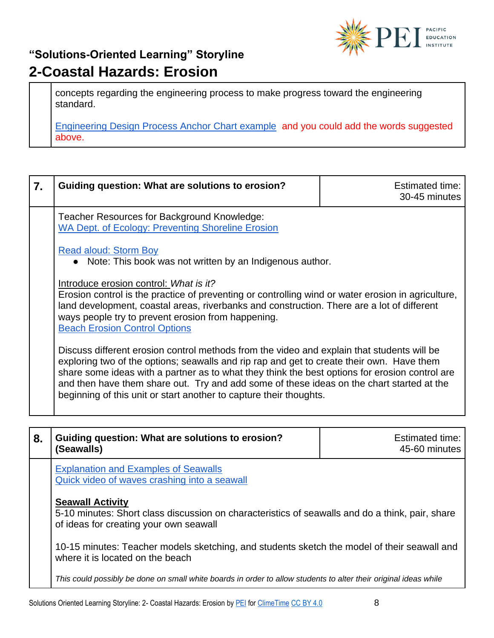

concepts regarding the engineering process to make progress toward the engineering standard.

[Engineering Design Process Anchor Chart example](https://pacificeductioninstitute.sharepoint.com/:w:/s/Program/EWbw_tqbDyZBtMQVwXnooVIBhFdS6QER8BUnH0dd3ULHpA?e=Wp2Pfa) and you could add the words suggested above.

| 7. | Guiding question: What are solutions to erosion?                                                                                                                                                                                                                                                                                                                                                                                                             | <b>Estimated time:</b><br>30-45 minutes |  |
|----|--------------------------------------------------------------------------------------------------------------------------------------------------------------------------------------------------------------------------------------------------------------------------------------------------------------------------------------------------------------------------------------------------------------------------------------------------------------|-----------------------------------------|--|
|    | Teacher Resources for Background Knowledge:<br><b>WA Dept. of Ecology: Preventing Shoreline Erosion</b>                                                                                                                                                                                                                                                                                                                                                      |                                         |  |
|    | <b>Read aloud: Storm Boy</b><br>• Note: This book was not written by an Indigenous author.                                                                                                                                                                                                                                                                                                                                                                   |                                         |  |
|    | Introduce erosion control: What is it?<br>Erosion control is the practice of preventing or controlling wind or water erosion in agriculture,<br>land development, coastal areas, riverbanks and construction. There are a lot of different<br>ways people try to prevent erosion from happening.<br><b>Beach Erosion Control Options</b>                                                                                                                     |                                         |  |
|    | Discuss different erosion control methods from the video and explain that students will be<br>exploring two of the options; seawalls and rip rap and get to create their own. Have them<br>share some ideas with a partner as to what they think the best options for erosion control are<br>and then have them share out. Try and add some of these ideas on the chart started at the<br>beginning of this unit or start another to capture their thoughts. |                                         |  |
|    |                                                                                                                                                                                                                                                                                                                                                                                                                                                              |                                         |  |
| 8. | Guiding question: What are solutions to erosion?<br>(Seawalls)                                                                                                                                                                                                                                                                                                                                                                                               | <b>Estimated time:</b><br>45-60 minutes |  |
|    | <b>Explanation and Examples of Seawalls</b><br>Quick video of waves crashing into a seawall                                                                                                                                                                                                                                                                                                                                                                  |                                         |  |
|    | <b>Seawall Activity</b><br>5-10 minutes: Short class discussion on characteristics of seawalls and do a think, pair, share<br>of ideas for creating your own seawall                                                                                                                                                                                                                                                                                         |                                         |  |

10-15 minutes: Teacher models sketching, and students sketch the model of their seawall and where it is located on the beach

*This could possibly be done on small white boards in order to allow students to alter their original ideas while*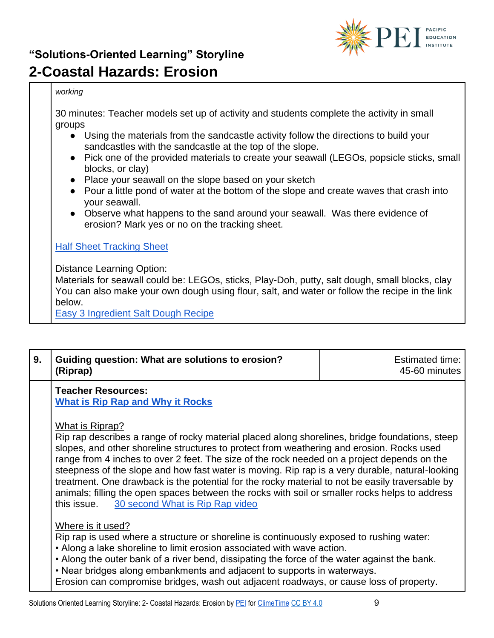

#### *working*

30 minutes: Teacher models set up of activity and students complete the activity in small groups

- Using the materials from the sandcastle activity follow the directions to build your sandcastles with the sandcastle at the top of the slope.
- Pick one of the provided materials to create your seawall (LEGOs, popsicle sticks, small blocks, or clay)
- Place your seawall on the slope based on your sketch
- Pour a little pond of water at the bottom of the slope and create waves that crash into your seawall.
- Observe what happens to the sand around your seawall. Was there evidence of erosion? Mark yes or no on the tracking sheet.

#### **[Half Sheet Tracking Sheet](https://1drv.ms/w/s!AllvyZejv77-gxWL2t0_W1S7Exn8?e=yFqy1w)**

Distance Learning Option:

Materials for seawall could be: LEGOs, sticks, Play-Doh, putty, salt dough, small blocks, clay You can also make your own dough using flour, salt, and water or follow the recipe in the link below.

[Easy 3 Ingredient Salt Dough Recipe](https://unsophisticook.com/salt-dough-recipe/)

| 9. | Guiding question: What are solutions to erosion?<br>(Riprap)                                                                                                                                                                                                                                                                                                                                                                                                                                                        | <b>Estimated time:</b><br>45-60 minutes |
|----|---------------------------------------------------------------------------------------------------------------------------------------------------------------------------------------------------------------------------------------------------------------------------------------------------------------------------------------------------------------------------------------------------------------------------------------------------------------------------------------------------------------------|-----------------------------------------|
|    | <b>Teacher Resources:</b><br>What is Rip Rap and Why it Rocks                                                                                                                                                                                                                                                                                                                                                                                                                                                       |                                         |
|    | What is Riprap?<br>Rip rap describes a range of rocky material placed along shorelines, bridge foundations, steep<br>slopes, and other shoreline structures to protect from weathering and erosion. Rocks used<br>range from 4 inches to over 2 feet. The size of the rock needed on a project depends on the<br>steepness of the slope and how fast water is moving. Rip rap is a very durable, natural-looking<br>treatment. One drawback is the potential for the rocky material to not be easily traversable by |                                         |

Where is it used?

Rip rap is used where a structure or shoreline is continuously exposed to rushing water:

- Along a lake shoreline to limit erosion associated with wave action.
- Along the outer bank of a river bend, dissipating the force of the water against the bank.

• Near bridges along embankments and adjacent to supports in waterways.

Erosion can compromise bridges, wash out adjacent roadways, or cause loss of property.

this issue. [30 second What is Rip Rap video](https://www.bing.com/videos/search?q=controlling+beach+erosion+with+rip+rap&&view=detail&mid=4AD51A4DFE15CB12B2DB4AD51A4DFE15CB12B2DB&&FORM=VRDGAR&ru=%2Fvideos%2Fsearch%3Fq%3Dcontrolling%2520beach%2520erosion%2520with%2520rip%2520rap%26qs%3Dn%26form%3DQBVR%26sp%3D-1%26pq%3Dcontrolling%2520beach%2520erosion%2520with%2520rip%2520rap%26sc%3D0-38%26sk%3D%26cvid%3D4E7E5DB179D24F22820962A6A477A079)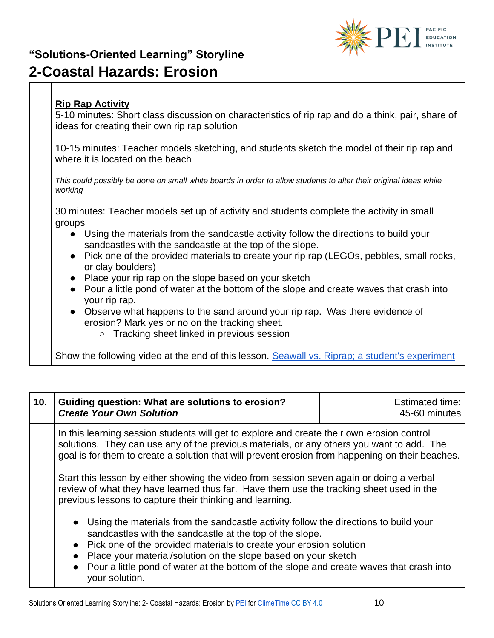

#### **Rip Rap Activity**

5-10 minutes: Short class discussion on characteristics of rip rap and do a think, pair, share of ideas for creating their own rip rap solution

10-15 minutes: Teacher models sketching, and students sketch the model of their rip rap and where it is located on the beach

*This could possibly be done on small white boards in order to allow students to alter their original ideas while working*

30 minutes: Teacher models set up of activity and students complete the activity in small groups

- Using the materials from the sandcastle activity follow the directions to build your sandcastles with the sandcastle at the top of the slope.
- Pick one of the provided materials to create your rip rap (LEGOs, pebbles, small rocks, or clay boulders)
- Place your rip rap on the slope based on your sketch
- Pour a little pond of water at the bottom of the slope and create waves that crash into your rip rap.
- Observe what happens to the sand around your rip rap. Was there evidence of erosion? Mark yes or no on the tracking sheet.
	- Tracking sheet linked in previous session

Show the following video at the end of this lesson. [Seawall vs. Riprap; a student's experiment](https://www.youtube.com/watch?v=plPyq8V2M3U)

| 10. | Guiding question: What are solutions to erosion?<br><b>Create Your Own Solution</b>                                                                                                                                                                                                                                             | <b>Estimated time:</b><br>45-60 minutes |  |
|-----|---------------------------------------------------------------------------------------------------------------------------------------------------------------------------------------------------------------------------------------------------------------------------------------------------------------------------------|-----------------------------------------|--|
|     | In this learning session students will get to explore and create their own erosion control<br>solutions. They can use any of the previous materials, or any others you want to add. The<br>goal is for them to create a solution that will prevent erosion from happening on their beaches.                                     |                                         |  |
|     | Start this lesson by either showing the video from session seven again or doing a verbal<br>review of what they have learned thus far. Have them use the tracking sheet used in the<br>previous lessons to capture their thinking and learning.                                                                                 |                                         |  |
|     | Using the materials from the sandcastle activity follow the directions to build your<br>$\bullet$<br>sandcastles with the sandcastle at the top of the slope.<br>Pick one of the provided materials to create your erosion solution<br>$\bullet$<br>Place your material/solution on the slope based on your sketch<br>$\bullet$ |                                         |  |
|     | Pour a little pond of water at the bottom of the slope and create waves that crash into<br>$\bullet$<br>your solution.                                                                                                                                                                                                          |                                         |  |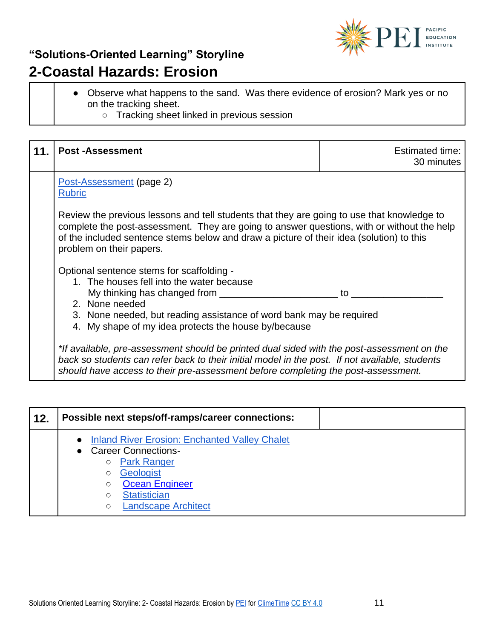

- Observe what happens to the sand. Was there evidence of erosion? Mark yes or no on the tracking sheet.
	- Tracking sheet linked in previous session

| <b>Post-Assessment</b>                                                                                                                                                                                                                                                                                           | Estimated time:<br>30 minutes |  |
|------------------------------------------------------------------------------------------------------------------------------------------------------------------------------------------------------------------------------------------------------------------------------------------------------------------|-------------------------------|--|
| Post-Assessment (page 2)<br><b>Rubric</b>                                                                                                                                                                                                                                                                        |                               |  |
| Review the previous lessons and tell students that they are going to use that knowledge to<br>complete the post-assessment. They are going to answer questions, with or without the help<br>of the included sentence stems below and draw a picture of their idea (solution) to this<br>problem on their papers. |                               |  |
| Optional sentence stems for scaffolding -<br>1. The houses fell into the water because<br>My thinking has changed from ________<br>2. None needed<br>3. None needed, but reading assistance of word bank may be required<br>4. My shape of my idea protects the house by/because                                 | to                            |  |
| *If available, pre-assessment should be printed dual sided with the post-assessment on the<br>back so students can refer back to their initial model in the post. If not available, students<br>should have access to their pre-assessment before completing the post-assessment.                                |                               |  |

| 12. | Possible next steps/off-ramps/career connections:                                                                                                                                                                                                    |
|-----|------------------------------------------------------------------------------------------------------------------------------------------------------------------------------------------------------------------------------------------------------|
|     | <b>Inland River Erosion: Enchanted Valley Chalet</b><br><b>Career Connections-</b><br><b>Park Ranger</b><br>$\circ$<br>Geologist<br>O<br><b>Ocean Engineer</b><br>$\circ$<br><b>Statistician</b><br>$\circ$<br><b>Landscape Architect</b><br>$\circ$ |